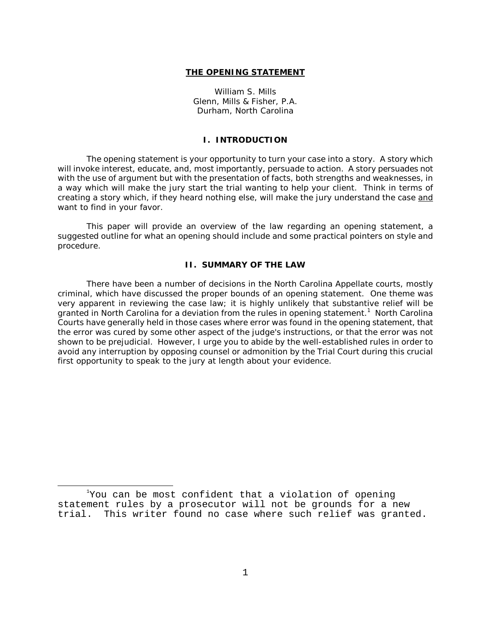### **THE OPENING STATEMENT**

 William S. Mills Glenn, Mills & Fisher, P.A. Durham, North Carolina

#### **I. INTRODUCTION**

The opening statement is your opportunity to turn your case into a story. A story which will invoke interest, educate, and, most importantly, persuade to action. A story persuades not with the use of argument but with the presentation of facts, both strengths and weaknesses, in a way which will make the jury start the trial wanting to help your client. Think in terms of creating a story which, if they heard nothing else, will make the jury understand the case and want to find in your favor.

This paper will provide an overview of the law regarding an opening statement, a suggested outline for what an opening should include and some practical pointers on style and procedure.

# **II. SUMMARY OF THE LAW**

There have been a number of decisions in the North Carolina Appellate courts, mostly criminal, which have discussed the proper bounds of an opening statement. One theme was very apparent in reviewing the case law; it is highly unlikely that substantive relief will be granted in North Carolina for a deviation from the rules in opening statement.<sup>1</sup> North Carolina Courts have generally held in those cases where error was found in the opening statement, that the error was cured by some other aspect of the judge's instructions, or that the error was not shown to be prejudicial. However, I urge you to abide by the well-established rules in order to avoid any interruption by opposing counsel or admonition by the Trial Court during this crucial first opportunity to speak to the jury at length about your evidence.

 $^{\text{1}}$ You can be most confident that a violation of opening statement rules by a prosecutor will not be grounds for a new trial. This writer found no case where such relief was granted.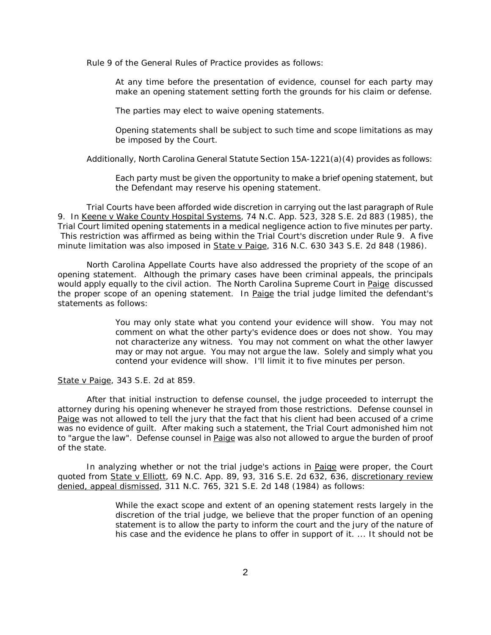Rule 9 of the General Rules of Practice provides as follows:

At any time before the presentation of evidence, counsel for each party may make an opening statement setting forth the grounds for his claim or defense.

The parties may elect to waive opening statements.

Opening statements shall be subject to such time and scope limitations as may be imposed by the Court.

Additionally, North Carolina General Statute Section 15A-1221(a)(4) provides as follows:

Each party must be given the opportunity to make a brief opening statement, but the Defendant may reserve his opening statement.

Trial Courts have been afforded wide discretion in carrying out the last paragraph of Rule 9. In Keene v Wake County Hospital Systems, 74 N.C. App. 523, 328 S.E. 2d 883 (1985), the Trial Court limited opening statements in a medical negligence action to five minutes per party. This restriction was affirmed as being within the Trial Court's discretion under Rule 9. A five minute limitation was also imposed in State v Paige, 316 N.C. 630 343 S.E. 2d 848 (1986).

North Carolina Appellate Courts have also addressed the propriety of the scope of an opening statement. Although the primary cases have been criminal appeals, the principals would apply equally to the civil action. The North Carolina Supreme Court in Paige discussed the proper scope of an opening statement. In Paige the trial judge limited the defendant's statements as follows:

> You may only state what you contend your evidence will show. You may not comment on what the other party's evidence does or does not show. You may not characterize any witness. You may not comment on what the other lawyer may or may not argue. You may not argue the law. Solely and simply what you contend your evidence will show. I'll limit it to five minutes per person.

State v Paige, 343 S.E. 2d at 859.

After that initial instruction to defense counsel, the judge proceeded to interrupt the attorney during his opening whenever he strayed from those restrictions. Defense counsel in Paige was not allowed to tell the jury that the fact that his client had been accused of a crime was no evidence of guilt. After making such a statement, the Trial Court admonished him not to "argue the law". Defense counsel in Paige was also not allowed to argue the burden of proof of the state.

In analyzing whether or not the trial judge's actions in Paige were proper, the Court quoted from State v Elliott, 69 N.C. App. 89, 93, 316 S.E. 2d 632, 636, discretionary review denied, appeal dismissed, 311 N.C. 765, 321 S.E. 2d 148 (1984) as follows:

> While the exact scope and extent of an opening statement rests largely in the discretion of the trial judge, we believe that the proper function of an opening statement is to allow the party to inform the court and the jury of the nature of his case and the evidence he plans to offer in support of it. ... It should not be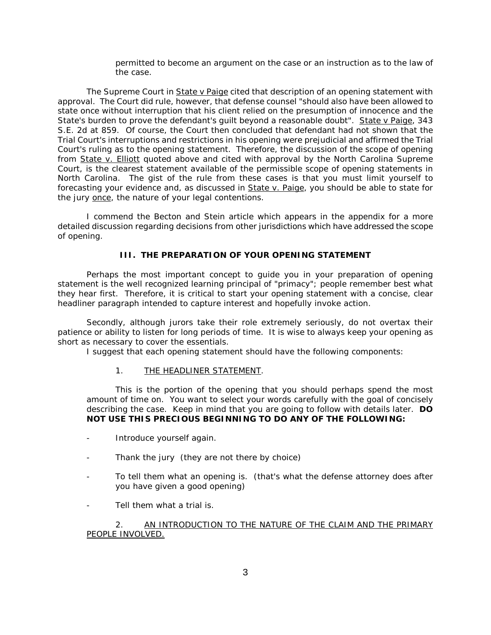permitted to become an argument on the case or an instruction as to the law of the case.

The Supreme Court in State v Paige cited that description of an opening statement with approval. The Court did rule, however, that defense counsel "should also have been allowed to state once without interruption that his client relied on the presumption of innocence and the State's burden to prove the defendant's guilt beyond a reasonable doubt". State v Paige, 343 S.E. 2d at 859. Of course, the Court then concluded that defendant had not shown that the Trial Court's interruptions and restrictions in his opening were prejudicial and affirmed the Trial Court's ruling as to the opening statement. Therefore, the discussion of the scope of opening from State v. Elliott quoted above and cited with approval by the North Carolina Supreme Court, is the clearest statement available of the permissible scope of opening statements in North Carolina. The gist of the rule from these cases is that you must limit yourself to forecasting your evidence and, as discussed in State v. Paige, you should be able to state for the jury once, the nature of your legal contentions.

I commend the Becton and Stein article which appears in the appendix for a more detailed discussion regarding decisions from other jurisdictions which have addressed the scope of opening.

## **III. THE PREPARATION OF YOUR OPENING STATEMENT**

Perhaps the most important concept to guide you in your preparation of opening statement is the well recognized learning principal of "primacy"; people remember best what they hear first. Therefore, it is critical to start your opening statement with a concise, clear headliner paragraph intended to capture interest and hopefully invoke action.

Secondly, although jurors take their role extremely seriously, do not overtax their patience or ability to listen for long periods of time. It is wise to always keep your opening as short as necessary to cover the essentials.

I suggest that each opening statement should have the following components:

## 1. THE HEADLINER STATEMENT.

This is the portion of the opening that you should perhaps spend the most amount of time on. You want to select your words carefully with the goal of concisely describing the case. Keep in mind that you are going to follow with details later. **DO NOT USE THIS PRECIOUS BEGINNING TO DO ANY OF THE FOLLOWING:** 

- Introduce yourself again.
- Thank the jury (they are not there by choice)
- To tell them what an opening is. (that's what the defense attorney does after you have given a good opening)
- Tell them what a trial is.

2. AN INTRODUCTION TO THE NATURE OF THE CLAIM AND THE PRIMARY PEOPLE INVOLVED.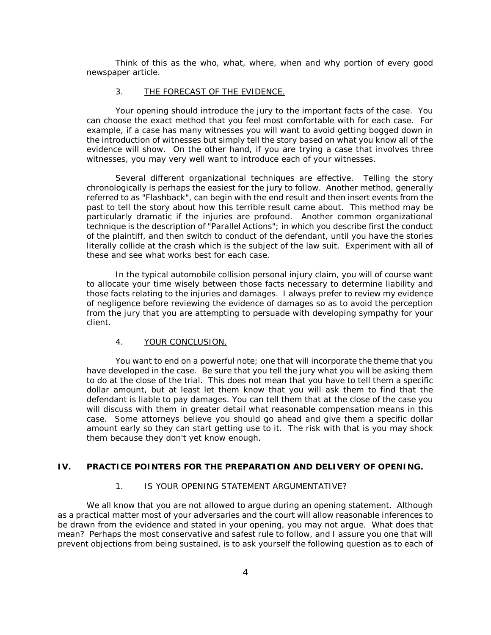Think of this as the who, what, where, when and why portion of every good newspaper article.

### 3. THE FORECAST OF THE EVIDENCE.

Your opening should introduce the jury to the important facts of the case. You can choose the exact method that you feel most comfortable with for each case. For example, if a case has many witnesses you will want to avoid getting bogged down in the introduction of witnesses but simply tell the story based on what you know all of the evidence will show. On the other hand, if you are trying a case that involves three witnesses, you may very well want to introduce each of your witnesses.

Several different organizational techniques are effective. Telling the story chronologically is perhaps the easiest for the jury to follow. Another method, generally referred to as "Flashback", can begin with the end result and then insert events from the past to tell the story about how this terrible result came about. This method may be particularly dramatic if the injuries are profound. Another common organizational technique is the description of "Parallel Actions"; in which you describe first the conduct of the plaintiff, and then switch to conduct of the defendant, until you have the stories literally collide at the crash which is the subject of the law suit. Experiment with all of these and see what works best for each case.

In the typical automobile collision personal injury claim, you will of course want to allocate your time wisely between those facts necessary to determine liability and those facts relating to the injuries and damages. I always prefer to review my evidence of negligence before reviewing the evidence of damages so as to avoid the perception from the jury that you are attempting to persuade with developing sympathy for your client.

### 4. YOUR CONCLUSION.

You want to end on a powerful note; one that will incorporate the theme that you have developed in the case. Be sure that you tell the jury what you will be asking them to do at the close of the trial. This does not mean that you have to tell them a specific dollar amount, but at least let them know that you will ask them to find that the defendant is liable to pay damages. You can tell them that at the close of the case you will discuss with them in greater detail what reasonable compensation means in this case. Some attorneys believe you should go ahead and give them a specific dollar amount early so they can start getting use to it. The risk with that is you may shock them because they don't yet know enough.

### **IV. PRACTICE POINTERS FOR THE PREPARATION AND DELIVERY OF OPENING.**

### 1. IS YOUR OPENING STATEMENT ARGUMENTATIVE?

We all know that you are not allowed to argue during an opening statement. Although as a practical matter most of your adversaries and the court will allow reasonable inferences to be drawn from the evidence and stated in your opening, you may not argue. What does that mean? Perhaps the most conservative and safest rule to follow, and I assure you one that will prevent objections from being sustained, is to ask yourself the following question as to each of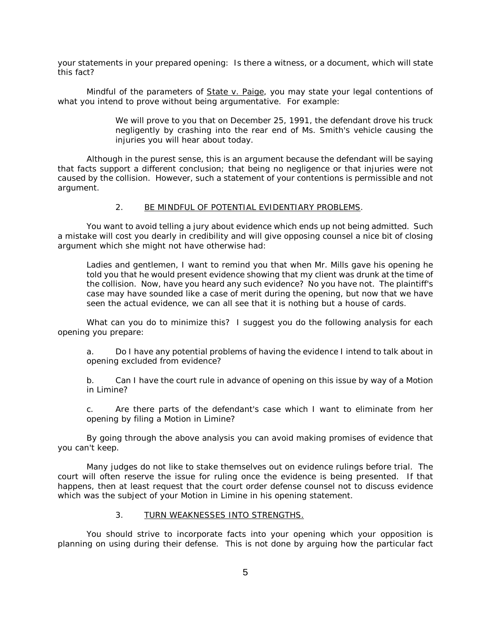your statements in your prepared opening: Is there a witness, or a document, which will state this fact?

Mindful of the parameters of State v. Paige, you may state your legal contentions of what you intend to prove without being argumentative. For example:

> We will prove to you that on December 25, 1991, the defendant drove his truck negligently by crashing into the rear end of Ms. Smith's vehicle causing the injuries you will hear about today.

Although in the purest sense, this is an argument because the defendant will be saying that facts support a different conclusion; that being no negligence or that injuries were not caused by the collision. However, such a statement of your contentions is permissible and not argument.

# 2. BE MINDFUL OF POTENTIAL EVIDENTIARY PROBLEMS.

You want to avoid telling a jury about evidence which ends up not being admitted. Such a mistake will cost you dearly in credibility and will give opposing counsel a nice bit of closing argument which she might not have otherwise had:

Ladies and gentlemen, I want to remind you that when Mr. Mills gave his opening he told you that he would present evidence showing that my client was drunk at the time of the collision. Now, have you heard any such evidence? No you have not. The plaintiff's case may have sounded like a case of merit during the opening, but now that we have seen the actual evidence, we can all see that it is nothing but a house of cards.

What can you do to minimize this? I suggest you do the following analysis for each opening you prepare:

a. Do I have any potential problems of having the evidence I intend to talk about in opening excluded from evidence?

b. Can I have the court rule in advance of opening on this issue by way of a Motion in Limine?

c. Are there parts of the defendant's case which I want to eliminate from her opening by filing a Motion in Limine?

By going through the above analysis you can avoid making promises of evidence that you can't keep.

Many judges do not like to stake themselves out on evidence rulings before trial. The court will often reserve the issue for ruling once the evidence is being presented. If that happens, then at least request that the court order defense counsel not to discuss evidence which was the subject of your Motion in Limine in his opening statement.

#### 3. TURN WEAKNESSES INTO STRENGTHS.

You should strive to incorporate facts into your opening which your opposition is planning on using during their defense. This is not done by arguing how the particular fact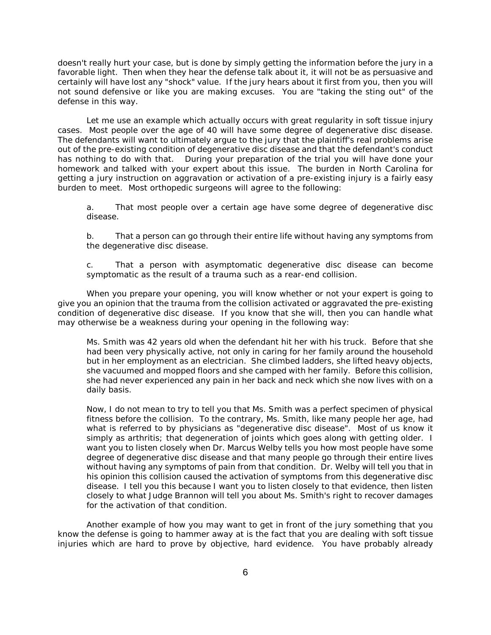doesn't really hurt your case, but is done by simply getting the information before the jury in a favorable light. Then when they hear the defense talk about it, it will not be as persuasive and certainly will have lost any "shock" value. If the jury hears about it first from you, then you will not sound defensive or like you are making excuses. You are "taking the sting out" of the defense in this way.

Let me use an example which actually occurs with great regularity in soft tissue injury cases. Most people over the age of 40 will have some degree of degenerative disc disease. The defendants will want to ultimately argue to the jury that the plaintiff's real problems arise out of the pre-existing condition of degenerative disc disease and that the defendant's conduct has nothing to do with that. During your preparation of the trial you will have done your homework and talked with your expert about this issue. The burden in North Carolina for getting a jury instruction on aggravation or activation of a pre-existing injury is a fairly easy burden to meet. Most orthopedic surgeons will agree to the following:

a. That most people over a certain age have some degree of degenerative disc disease.

b. That a person can go through their entire life without having any symptoms from the degenerative disc disease.

c. That a person with asymptomatic degenerative disc disease can become symptomatic as the result of a trauma such as a rear-end collision.

When you prepare your opening, you will know whether or not your expert is going to give you an opinion that the trauma from the collision activated or aggravated the pre-existing condition of degenerative disc disease. If you know that she will, then you can handle what may otherwise be a weakness during your opening in the following way:

Ms. Smith was 42 years old when the defendant hit her with his truck. Before that she had been very physically active, not only in caring for her family around the household but in her employment as an electrician. She climbed ladders, she lifted heavy objects, she vacuumed and mopped floors and she camped with her family. Before this collision, she had never experienced any pain in her back and neck which she now lives with on a daily basis.

Now, I do not mean to try to tell you that Ms. Smith was a perfect specimen of physical fitness before the collision. To the contrary, Ms. Smith, like many people her age, had what is referred to by physicians as "degenerative disc disease". Most of us know it simply as arthritis; that degeneration of joints which goes along with getting older. I want you to listen closely when Dr. Marcus Welby tells you how most people have some degree of degenerative disc disease and that many people go through their entire lives without having any symptoms of pain from that condition. Dr. Welby will tell you that in his opinion this collision caused the activation of symptoms from this degenerative disc disease. I tell you this because I want you to listen closely to that evidence, then listen closely to what Judge Brannon will tell you about Ms. Smith's right to recover damages for the activation of that condition.

Another example of how you may want to get in front of the jury something that you know the defense is going to hammer away at is the fact that you are dealing with soft tissue injuries which are hard to prove by objective, hard evidence. You have probably already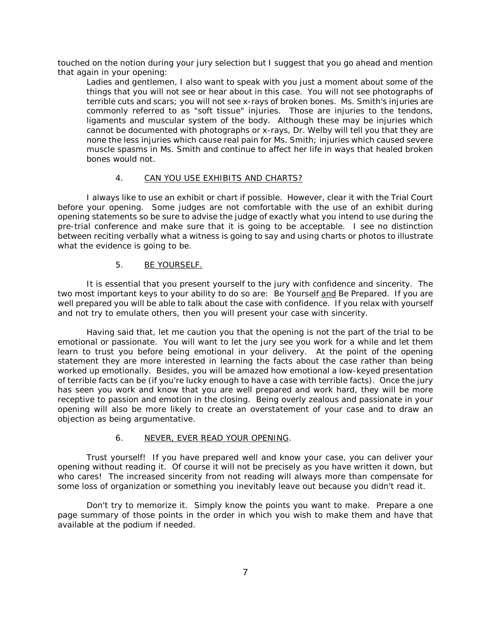touched on the notion during your jury selection but I suggest that you go ahead and mention that again in your opening:

Ladies and gentlemen, I also want to speak with you just a moment about some of the things that you will not see or hear about in this case. You will not see photographs of terrible cuts and scars; you will not see x-rays of broken bones. Ms. Smith's injuries are commonly referred to as "soft tissue" injuries. Those are injuries to the tendons, ligaments and muscular system of the body. Although these may be injuries which cannot be documented with photographs or x-rays, Dr. Welby will tell you that they are none the less injuries which cause real pain for Ms. Smith; injuries which caused severe muscle spasms in Ms. Smith and continue to affect her life in ways that healed broken bones would not.

## 4. CAN YOU USE EXHIBITS AND CHARTS?

I always like to use an exhibit or chart if possible. However, clear it with the Trial Court before your opening. Some judges are not comfortable with the use of an exhibit during opening statements so be sure to advise the judge of exactly what you intend to use during the pre-trial conference and make sure that it is going to be acceptable. I see no distinction between reciting verbally what a witness is going to say and using charts or photos to illustrate what the evidence is going to be.

## 5. BE YOURSELF.

It is essential that you present yourself to the jury with confidence and sincerity. The two most important keys to your ability to do so are: Be Yourself and Be Prepared. If you are well prepared you will be able to talk about the case with confidence. If you relax with yourself and not try to emulate others, then you will present your case with sincerity.

Having said that, let me caution you that the opening is not the part of the trial to be emotional or passionate. You will want to let the jury see you work for a while and let them learn to trust you before being emotional in your delivery. At the point of the opening statement they are more interested in learning the facts about the case rather than being worked up emotionally. Besides, you will be amazed how emotional a low-keyed presentation of terrible facts can be (if you're lucky enough to have a case with terrible facts). Once the jury has seen you work and know that you are well prepared and work hard, they will be more receptive to passion and emotion in the closing. Being overly zealous and passionate in your opening will also be more likely to create an overstatement of your case and to draw an objection as being argumentative.

### 6. NEVER, EVER READ YOUR OPENING.

Trust yourself! If you have prepared well and know your case, you can deliver your opening without reading it. Of course it will not be precisely as you have written it down, but who cares! The increased sincerity from not reading will always more than compensate for some loss of organization or something you inevitably leave out because you didn't read it.

Don't try to memorize it. Simply know the points you want to make. Prepare a one page summary of those points in the order in which you wish to make them and have that available at the podium if needed.